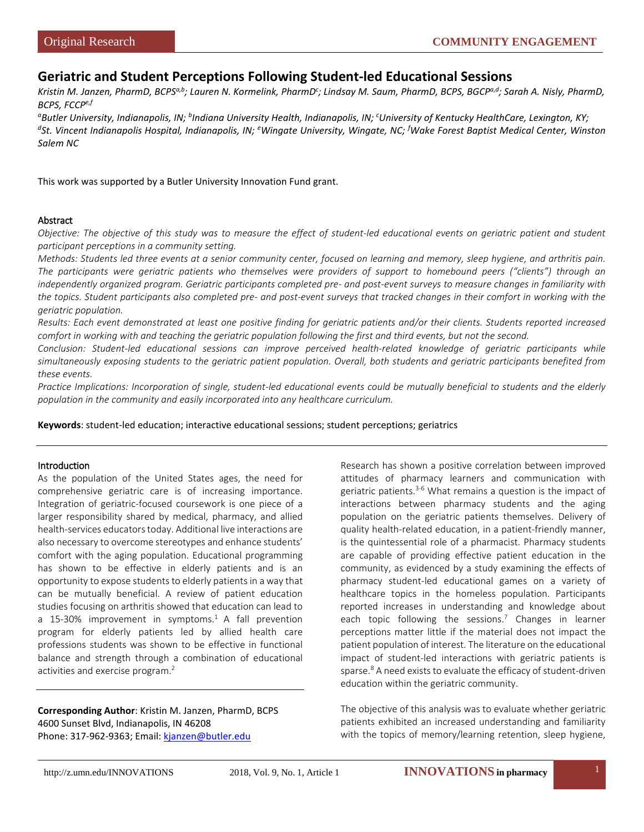# **Geriatric and Student Perceptions Following Student-led Educational Sessions**

Kristin M. Janzen, PharmD, BCPS<sup>a,b</sup>; Lauren N. Kormelink, PharmD<sup>c</sup>; Lindsay M. Saum, PharmD, BCPS, BGCP<sup>a,d</sup>; Sarah A. Nisly, PharmD, *BCPS, FCCPe,f*

*a Butler University, Indianapolis, IN; b Indiana University Health, Indianapolis, IN; c University of Kentucky HealthCare, Lexington, KY;* <sup>d</sup>St. Vincent Indianapolis Hospital, Indianapolis, IN; <sup>e</sup>Wingate University, Wingate, NC; <sup>f</sup>Wake Forest Baptist Medical Center, Winston *Salem NC* 

This work was supported by a Butler University Innovation Fund grant.

#### Abstract

*Objective: The objective of this study was to measure the effect of student-led educational events on geriatric patient and student participant perceptions in a community setting.*

*Methods: Students led three events at a senior community center, focused on learning and memory, sleep hygiene, and arthritis pain. The participants were geriatric patients who themselves were providers of support to homebound peers ("clients") through an independently organized program. Geriatric participants completed pre- and post-event surveys to measure changes in familiarity with the topics. Student participants also completed pre- and post-event surveys that tracked changes in their comfort in working with the geriatric population.*

*Results: Each event demonstrated at least one positive finding for geriatric patients and/or their clients. Students reported increased comfort in working with and teaching the geriatric population following the first and third events, but not the second.*

*Conclusion: Student-led educational sessions can improve perceived health-related knowledge of geriatric participants while simultaneously exposing students to the geriatric patient population. Overall, both students and geriatric participants benefited from these events.*

*Practice Implications: Incorporation of single, student-led educational events could be mutually beneficial to students and the elderly population in the community and easily incorporated into any healthcare curriculum.*

**Keywords**: student-led education; interactive educational sessions; student perceptions; geriatrics

#### Introduction

As the population of the United States ages, the need for comprehensive geriatric care is of increasing importance. Integration of geriatric-focused coursework is one piece of a larger responsibility shared by medical, pharmacy, and allied health-services educators today. Additional live interactions are also necessary to overcome stereotypes and enhance students' comfort with the aging population. Educational programming has shown to be effective in elderly patients and is an opportunity to expose students to elderly patients in a way that can be mutually beneficial. A review of patient education studies focusing on arthritis showed that education can lead to a 15-30% improvement in symptoms.<sup>1</sup> A fall prevention program for elderly patients led by allied health care professions students was shown to be effective in functional balance and strength through a combination of educational activities and exercise program.<sup>2</sup>

**Corresponding Author**: Kristin M. Janzen, PharmD, BCPS 4600 Sunset Blvd, Indianapolis, IN 46208 Phone: 317-962-9363; Email: [kjanzen@butler.edu](mailto:kjanzen@butler.edu)

Research has shown a positive correlation between improved attitudes of pharmacy learners and communication with geriatric patients.<sup>3-6</sup> What remains a question is the impact of interactions between pharmacy students and the aging population on the geriatric patients themselves. Delivery of quality health-related education, in a patient-friendly manner, is the quintessential role of a pharmacist. Pharmacy students are capable of providing effective patient education in the community, as evidenced by a study examining the effects of pharmacy student-led educational games on a variety of healthcare topics in the homeless population. Participants reported increases in understanding and knowledge about each topic following the sessions.<sup>7</sup> Changes in learner perceptions matter little if the material does not impact the patient population of interest. The literature on the educational impact of student-led interactions with geriatric patients is sparse.<sup>8</sup> A need exists to evaluate the efficacy of student-driven education within the geriatric community.

The objective of this analysis was to evaluate whether geriatric patients exhibited an increased understanding and familiarity with the topics of memory/learning retention, sleep hygiene,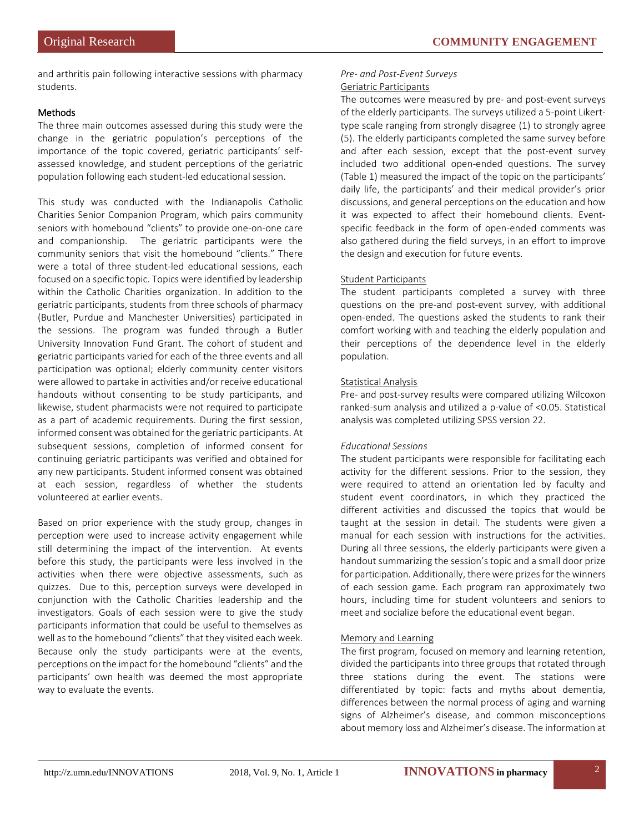and arthritis pain following interactive sessions with pharmacy students.

## Methods

The three main outcomes assessed during this study were the change in the geriatric population's perceptions of the importance of the topic covered, geriatric participants' selfassessed knowledge, and student perceptions of the geriatric population following each student-led educational session.

This study was conducted with the Indianapolis Catholic Charities Senior Companion Program, which pairs community seniors with homebound "clients" to provide one-on-one care and companionship. The geriatric participants were the community seniors that visit the homebound "clients." There were a total of three student-led educational sessions, each focused on a specific topic. Topics were identified by leadership within the Catholic Charities organization. In addition to the geriatric participants, students from three schools of pharmacy (Butler, Purdue and Manchester Universities) participated in the sessions. The program was funded through a Butler University Innovation Fund Grant. The cohort of student and geriatric participants varied for each of the three events and all participation was optional; elderly community center visitors were allowed to partake in activities and/or receive educational handouts without consenting to be study participants, and likewise, student pharmacists were not required to participate as a part of academic requirements. During the first session, informed consent was obtained for the geriatric participants. At subsequent sessions, completion of informed consent for continuing geriatric participants was verified and obtained for any new participants. Student informed consent was obtained at each session, regardless of whether the students volunteered at earlier events.

Based on prior experience with the study group, changes in perception were used to increase activity engagement while still determining the impact of the intervention. At events before this study, the participants were less involved in the activities when there were objective assessments, such as quizzes. Due to this, perception surveys were developed in conjunction with the Catholic Charities leadership and the investigators. Goals of each session were to give the study participants information that could be useful to themselves as well as to the homebound "clients" that they visited each week. Because only the study participants were at the events, perceptions on the impact for the homebound "clients" and the participants' own health was deemed the most appropriate way to evaluate the events.

## *Pre- and Post-Event Surveys* Geriatric Participants

The outcomes were measured by pre- and post-event surveys of the elderly participants. The surveys utilized a 5-point Likerttype scale ranging from strongly disagree (1) to strongly agree (5). The elderly participants completed the same survey before and after each session, except that the post-event survey included two additional open-ended questions. The survey (Table 1) measured the impact of the topic on the participants' daily life, the participants' and their medical provider's prior discussions, and general perceptions on the education and how it was expected to affect their homebound clients. Eventspecific feedback in the form of open-ended comments was also gathered during the field surveys, in an effort to improve the design and execution for future events.

# Student Participants

The student participants completed a survey with three questions on the pre-and post-event survey, with additional open-ended. The questions asked the students to rank their comfort working with and teaching the elderly population and their perceptions of the dependence level in the elderly population.

## Statistical Analysis

Pre- and post-survey results were compared utilizing Wilcoxon ranked-sum analysis and utilized a p-value of <0.05. Statistical analysis was completed utilizing SPSS version 22.

## *Educational Sessions*

The student participants were responsible for facilitating each activity for the different sessions. Prior to the session, they were required to attend an orientation led by faculty and student event coordinators, in which they practiced the different activities and discussed the topics that would be taught at the session in detail. The students were given a manual for each session with instructions for the activities. During all three sessions, the elderly participants were given a handout summarizing the session's topic and a small door prize for participation. Additionally, there were prizes for the winners of each session game. Each program ran approximately two hours, including time for student volunteers and seniors to meet and socialize before the educational event began.

## Memory and Learning

The first program, focused on memory and learning retention, divided the participants into three groups that rotated through three stations during the event. The stations were differentiated by topic: facts and myths about dementia, differences between the normal process of aging and warning signs of Alzheimer's disease, and common misconceptions about memory loss and Alzheimer's disease. The information at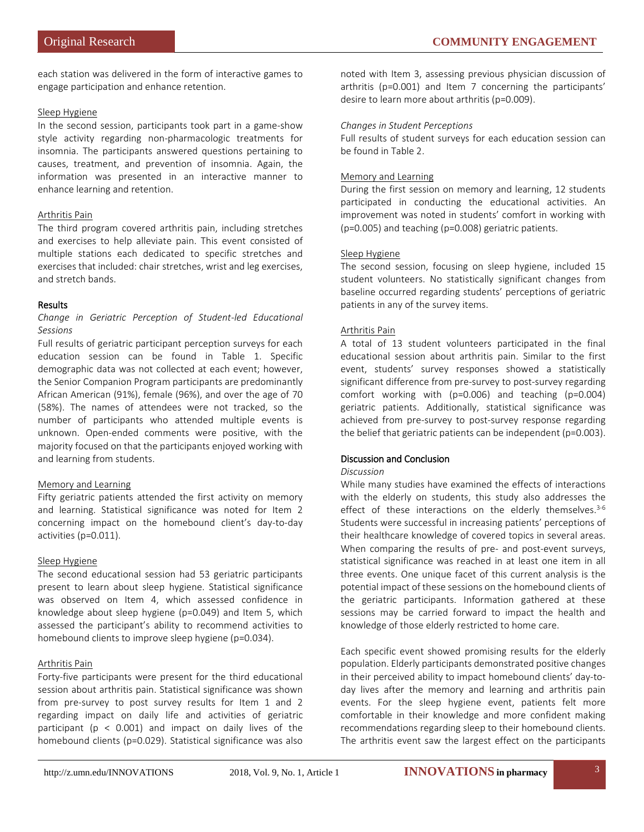each station was delivered in the form of interactive games to engage participation and enhance retention.

## Sleep Hygiene

In the second session, participants took part in a game-show style activity regarding non-pharmacologic treatments for insomnia. The participants answered questions pertaining to causes, treatment, and prevention of insomnia. Again, the information was presented in an interactive manner to enhance learning and retention.

## Arthritis Pain

The third program covered arthritis pain, including stretches and exercises to help alleviate pain. This event consisted of multiple stations each dedicated to specific stretches and exercises that included: chair stretches, wrist and leg exercises, and stretch bands.

#### Results

*Change in Geriatric Perception of Student-led Educational Sessions*

Full results of geriatric participant perception surveys for each education session can be found in Table 1. Specific demographic data was not collected at each event; however, the Senior Companion Program participants are predominantly African American (91%), female (96%), and over the age of 70 (58%). The names of attendees were not tracked, so the number of participants who attended multiple events is unknown. Open-ended comments were positive, with the majority focused on that the participants enjoyed working with and learning from students.

## Memory and Learning

Fifty geriatric patients attended the first activity on memory and learning. Statistical significance was noted for Item 2 concerning impact on the homebound client's day-to-day activities (p=0.011).

## Sleep Hygiene

The second educational session had 53 geriatric participants present to learn about sleep hygiene. Statistical significance was observed on Item 4, which assessed confidence in knowledge about sleep hygiene (p=0.049) and Item 5, which assessed the participant's ability to recommend activities to homebound clients to improve sleep hygiene (p=0.034).

## Arthritis Pain

Forty-five participants were present for the third educational session about arthritis pain. Statistical significance was shown from pre-survey to post survey results for Item 1 and 2 regarding impact on daily life and activities of geriatric participant ( $p < 0.001$ ) and impact on daily lives of the homebound clients (p=0.029). Statistical significance was also

noted with Item 3, assessing previous physician discussion of arthritis (p=0.001) and Item 7 concerning the participants' desire to learn more about arthritis (p=0.009).

#### *Changes in Student Perceptions*

Full results of student surveys for each education session can be found in Table 2.

#### Memory and Learning

During the first session on memory and learning, 12 students participated in conducting the educational activities. An improvement was noted in students' comfort in working with (p=0.005) and teaching (p=0.008) geriatric patients.

#### Sleep Hygiene

The second session, focusing on sleep hygiene, included 15 student volunteers. No statistically significant changes from baseline occurred regarding students' perceptions of geriatric patients in any of the survey items.

## Arthritis Pain

A total of 13 student volunteers participated in the final educational session about arthritis pain. Similar to the first event, students' survey responses showed a statistically significant difference from pre-survey to post-survey regarding comfort working with (p=0.006) and teaching (p=0.004) geriatric patients. Additionally, statistical significance was achieved from pre-survey to post-survey response regarding the belief that geriatric patients can be independent (p=0.003).

## Discussion and Conclusion

#### *Discussion*

While many studies have examined the effects of interactions with the elderly on students, this study also addresses the effect of these interactions on the elderly themselves. $3-6$ Students were successful in increasing patients' perceptions of their healthcare knowledge of covered topics in several areas. When comparing the results of pre- and post-event surveys, statistical significance was reached in at least one item in all three events. One unique facet of this current analysis is the potential impact of these sessions on the homebound clients of the geriatric participants. Information gathered at these sessions may be carried forward to impact the health and knowledge of those elderly restricted to home care.

Each specific event showed promising results for the elderly population. Elderly participants demonstrated positive changes in their perceived ability to impact homebound clients' day-today lives after the memory and learning and arthritis pain events. For the sleep hygiene event, patients felt more comfortable in their knowledge and more confident making recommendations regarding sleep to their homebound clients. The arthritis event saw the largest effect on the participants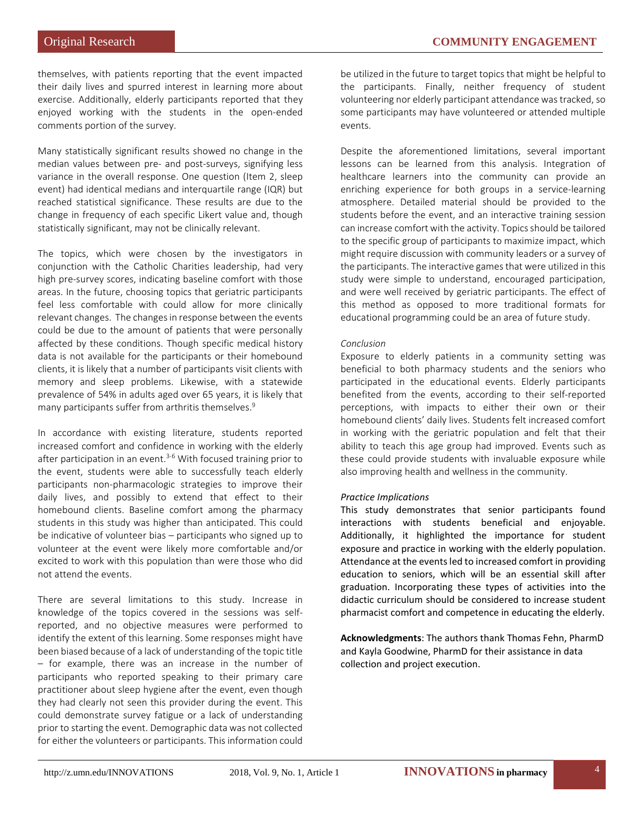themselves, with patients reporting that the event impacted their daily lives and spurred interest in learning more about exercise. Additionally, elderly participants reported that they enjoyed working with the students in the open-ended comments portion of the survey.

Many statistically significant results showed no change in the median values between pre- and post-surveys, signifying less variance in the overall response. One question (Item 2, sleep event) had identical medians and interquartile range (IQR) but reached statistical significance. These results are due to the change in frequency of each specific Likert value and, though statistically significant, may not be clinically relevant.

The topics, which were chosen by the investigators in conjunction with the Catholic Charities leadership, had very high pre-survey scores, indicating baseline comfort with those areas. In the future, choosing topics that geriatric participants feel less comfortable with could allow for more clinically relevant changes. The changes in response between the events could be due to the amount of patients that were personally affected by these conditions. Though specific medical history data is not available for the participants or their homebound clients, it is likely that a number of participants visit clients with memory and sleep problems. Likewise, with a statewide prevalence of 54% in adults aged over 65 years, it is likely that many participants suffer from arthritis themselves.<sup>9</sup>

In accordance with existing literature, students reported increased comfort and confidence in working with the elderly after participation in an event. $3-6$  With focused training prior to the event, students were able to successfully teach elderly participants non-pharmacologic strategies to improve their daily lives, and possibly to extend that effect to their homebound clients. Baseline comfort among the pharmacy students in this study was higher than anticipated. This could be indicative of volunteer bias – participants who signed up to volunteer at the event were likely more comfortable and/or excited to work with this population than were those who did not attend the events.

There are several limitations to this study. Increase in knowledge of the topics covered in the sessions was selfreported, and no objective measures were performed to identify the extent of this learning. Some responses might have been biased because of a lack of understanding of the topic title – for example, there was an increase in the number of participants who reported speaking to their primary care practitioner about sleep hygiene after the event, even though they had clearly not seen this provider during the event. This could demonstrate survey fatigue or a lack of understanding prior to starting the event. Demographic data was not collected for either the volunteers or participants. This information could

be utilized in the future to target topics that might be helpful to the participants. Finally, neither frequency of student volunteering nor elderly participant attendance was tracked, so some participants may have volunteered or attended multiple events.

Despite the aforementioned limitations, several important lessons can be learned from this analysis. Integration of healthcare learners into the community can provide an enriching experience for both groups in a service-learning atmosphere. Detailed material should be provided to the students before the event, and an interactive training session can increase comfort with the activity. Topics should be tailored to the specific group of participants to maximize impact, which might require discussion with community leaders or a survey of the participants. The interactive games that were utilized in this study were simple to understand, encouraged participation, and were well received by geriatric participants. The effect of this method as opposed to more traditional formats for educational programming could be an area of future study.

#### *Conclusion*

Exposure to elderly patients in a community setting was beneficial to both pharmacy students and the seniors who participated in the educational events. Elderly participants benefited from the events, according to their self-reported perceptions, with impacts to either their own or their homebound clients' daily lives. Students felt increased comfort in working with the geriatric population and felt that their ability to teach this age group had improved. Events such as these could provide students with invaluable exposure while also improving health and wellness in the community.

## *Practice Implications*

This study demonstrates that senior participants found interactions with students beneficial and enjoyable. Additionally, it highlighted the importance for student exposure and practice in working with the elderly population. Attendance at the events led to increased comfort in providing education to seniors, which will be an essential skill after graduation. Incorporating these types of activities into the didactic curriculum should be considered to increase student pharmacist comfort and competence in educating the elderly.

**Acknowledgments**: The authors thank Thomas Fehn, PharmD and Kayla Goodwine, PharmD for their assistance in data collection and project execution.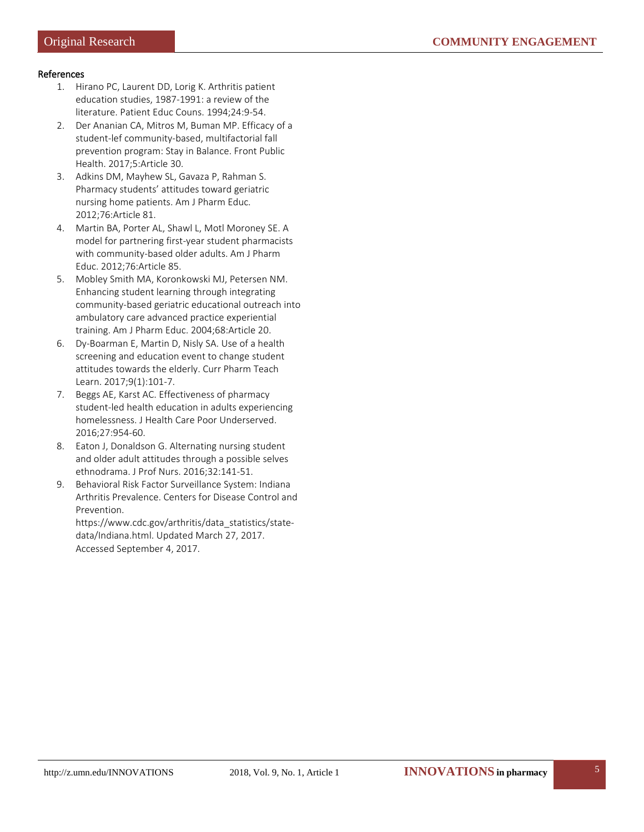#### References

- 1. Hirano PC, Laurent DD, Lorig K. Arthritis patient education studies, 1987-1991: a review of the literature. Patient Educ Couns. 1994;24:9-54.
- 2. Der Ananian CA, Mitros M, Buman MP. Efficacy of a student-lef community-based, multifactorial fall prevention program: Stay in Balance. Front Public Health. 2017;5:Article 30.
- 3. Adkins DM, Mayhew SL, Gavaza P, Rahman S. Pharmacy students' attitudes toward geriatric nursing home patients. Am J Pharm Educ. 2012;76:Article 81.
- 4. Martin BA, Porter AL, Shawl L, Motl Moroney SE. A model for partnering first-year student pharmacists with community-based older adults. Am J Pharm Educ. 2012;76:Article 85.
- 5. Mobley Smith MA, Koronkowski MJ, Petersen NM. Enhancing student learning through integrating community-based geriatric educational outreach into ambulatory care advanced practice experiential training. Am J Pharm Educ. 2004;68:Article 20.
- 6. Dy-Boarman E, Martin D, Nisly SA. Use of a health screening and education event to change student attitudes towards the elderly. Curr Pharm Teach Learn. 2017;9(1):101-7.
- 7. Beggs AE, Karst AC. Effectiveness of pharmacy student-led health education in adults experiencing homelessness. J Health Care Poor Underserved. 2016;27:954-60.
- 8. Eaton J, Donaldson G. Alternating nursing student and older adult attitudes through a possible selves ethnodrama. J Prof Nurs. 2016;32:141-51.
- 9. Behavioral Risk Factor Surveillance System: Indiana Arthritis Prevalence. Centers for Disease Control and Prevention.

https://www.cdc.gov/arthritis/data\_statistics/statedata/Indiana.html. Updated March 27, 2017. Accessed September 4, 2017.